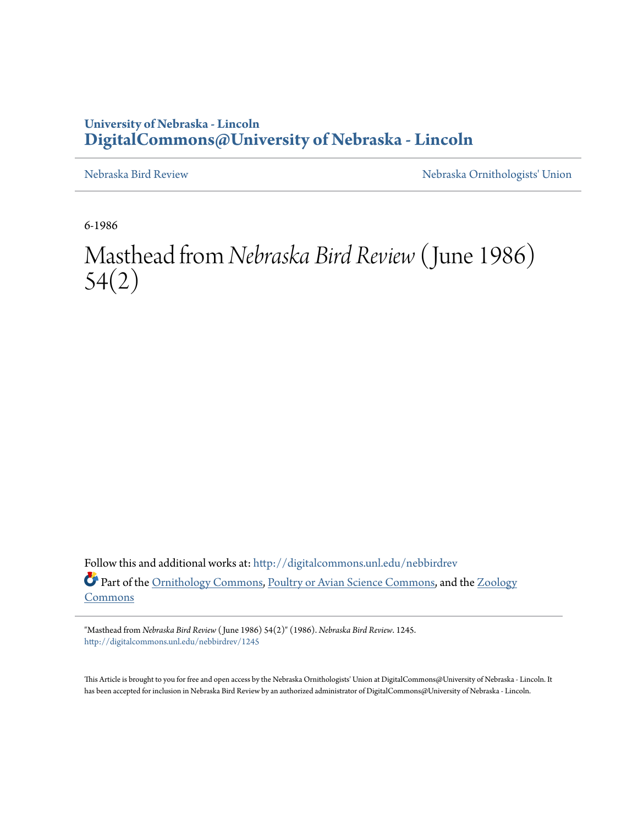## **University of Nebraska - Lincoln [DigitalCommons@University of Nebraska - Lincoln](http://digitalcommons.unl.edu?utm_source=digitalcommons.unl.edu%2Fnebbirdrev%2F1245&utm_medium=PDF&utm_campaign=PDFCoverPages)**

[Nebraska Bird Review](http://digitalcommons.unl.edu/nebbirdrev?utm_source=digitalcommons.unl.edu%2Fnebbirdrev%2F1245&utm_medium=PDF&utm_campaign=PDFCoverPages) [Nebraska Ornithologists' Union](http://digitalcommons.unl.edu/nebornithologists?utm_source=digitalcommons.unl.edu%2Fnebbirdrev%2F1245&utm_medium=PDF&utm_campaign=PDFCoverPages)

6-1986

Masthead from *Nebraska Bird Review* (June 1986) 54(2)

Follow this and additional works at: [http://digitalcommons.unl.edu/nebbirdrev](http://digitalcommons.unl.edu/nebbirdrev?utm_source=digitalcommons.unl.edu%2Fnebbirdrev%2F1245&utm_medium=PDF&utm_campaign=PDFCoverPages) Part of the [Ornithology Commons](http://network.bepress.com/hgg/discipline/1190?utm_source=digitalcommons.unl.edu%2Fnebbirdrev%2F1245&utm_medium=PDF&utm_campaign=PDFCoverPages), [Poultry or Avian Science Commons,](http://network.bepress.com/hgg/discipline/80?utm_source=digitalcommons.unl.edu%2Fnebbirdrev%2F1245&utm_medium=PDF&utm_campaign=PDFCoverPages) and the [Zoology](http://network.bepress.com/hgg/discipline/81?utm_source=digitalcommons.unl.edu%2Fnebbirdrev%2F1245&utm_medium=PDF&utm_campaign=PDFCoverPages) [Commons](http://network.bepress.com/hgg/discipline/81?utm_source=digitalcommons.unl.edu%2Fnebbirdrev%2F1245&utm_medium=PDF&utm_campaign=PDFCoverPages)

"Masthead from *Nebraska Bird Review* ( June 1986) 54(2)" (1986). *Nebraska Bird Review*. 1245. [http://digitalcommons.unl.edu/nebbirdrev/1245](http://digitalcommons.unl.edu/nebbirdrev/1245?utm_source=digitalcommons.unl.edu%2Fnebbirdrev%2F1245&utm_medium=PDF&utm_campaign=PDFCoverPages)

This Article is brought to you for free and open access by the Nebraska Ornithologists' Union at DigitalCommons@University of Nebraska - Lincoln. It has been accepted for inclusion in Nebraska Bird Review by an authorized administrator of DigitalCommons@University of Nebraska - Lincoln.